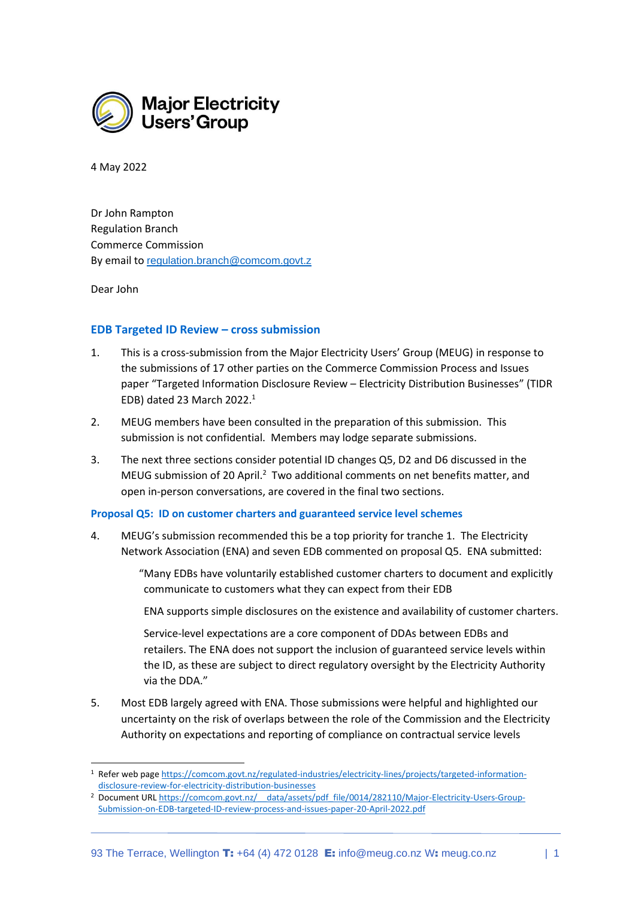

4 May 2022

Dr John Rampton Regulation Branch Commerce Commission By email to [regulation.branch@comcom.govt.z](mailto:regulation.branch@comcom.govt.z)

Dear John

# **EDB Targeted ID Review – cross submission**

- 1. This is a cross-submission from the Major Electricity Users' Group (MEUG) in response to the submissions of 17 other parties on the Commerce Commission Process and Issues paper "Targeted Information Disclosure Review – Electricity Distribution Businesses" (TIDR EDB) dated 23 March 2022. 1
- 2. MEUG members have been consulted in the preparation of this submission. This submission is not confidential. Members may lodge separate submissions.
- 3. The next three sections consider potential ID changes Q5, D2 and D6 discussed in the MEUG submission of 20 April.<sup>2</sup> Two additional comments on net benefits matter, and open in-person conversations, are covered in the final two sections.

## **Proposal Q5: ID on customer charters and guaranteed service level schemes**

4. MEUG's submission recommended this be a top priority for tranche 1. The Electricity Network Association (ENA) and seven EDB commented on proposal Q5. ENA submitted:

> "Many EDBs have voluntarily established customer charters to document and explicitly communicate to customers what they can expect from their EDB

ENA supports simple disclosures on the existence and availability of customer charters.

Service-level expectations are a core component of DDAs between EDBs and retailers. The ENA does not support the inclusion of guaranteed service levels within the ID, as these are subject to direct regulatory oversight by the Electricity Authority via the DDA."

5. Most EDB largely agreed with ENA. Those submissions were helpful and highlighted our uncertainty on the risk of overlaps between the role of the Commission and the Electricity Authority on expectations and reporting of compliance on contractual service levels

<sup>1</sup> Refer web pag[e https://comcom.govt.nz/regulated-industries/electricity-lines/projects/targeted-information](https://comcom.govt.nz/regulated-industries/electricity-lines/projects/targeted-information-disclosure-review-for-electricity-distribution-businesses)[disclosure-review-for-electricity-distribution-businesses](https://comcom.govt.nz/regulated-industries/electricity-lines/projects/targeted-information-disclosure-review-for-electricity-distribution-businesses)

<sup>&</sup>lt;sup>2</sup> Document URL https://comcom.govt.nz/ data/assets/pdf file/0014/282110/Major-Electricity-Users-Group-[Submission-on-EDB-targeted-ID-review-process-and-issues-paper-20-April-2022.pdf](https://comcom.govt.nz/__data/assets/pdf_file/0014/282110/Major-Electricity-Users-Group-Submission-on-EDB-targeted-ID-review-process-and-issues-paper-20-April-2022.pdf)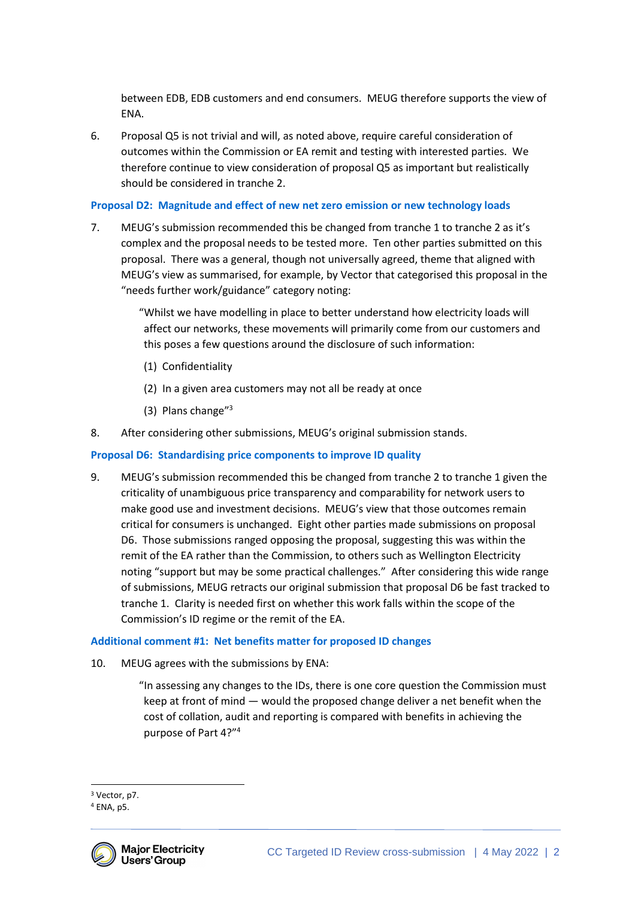between EDB, EDB customers and end consumers. MEUG therefore supports the view of ENA.

6. Proposal Q5 is not trivial and will, as noted above, require careful consideration of outcomes within the Commission or EA remit and testing with interested parties. We therefore continue to view consideration of proposal Q5 as important but realistically should be considered in tranche 2.

# **Proposal D2: Magnitude and effect of new net zero emission or new technology loads**

7. MEUG's submission recommended this be changed from tranche 1 to tranche 2 as it's complex and the proposal needs to be tested more. Ten other parties submitted on this proposal. There was a general, though not universally agreed, theme that aligned with MEUG's view as summarised, for example, by Vector that categorised this proposal in the "needs further work/guidance" category noting:

> "Whilst we have modelling in place to better understand how electricity loads will affect our networks, these movements will primarily come from our customers and this poses a few questions around the disclosure of such information:

- (1) Confidentiality
- (2) In a given area customers may not all be ready at once
- (3) Plans change"<sup>3</sup>
- 8. After considering other submissions, MEUG's original submission stands.

## **Proposal D6: Standardising price components to improve ID quality**

9. MEUG's submission recommended this be changed from tranche 2 to tranche 1 given the criticality of unambiguous price transparency and comparability for network users to make good use and investment decisions. MEUG's view that those outcomes remain critical for consumers is unchanged. Eight other parties made submissions on proposal D6. Those submissions ranged opposing the proposal, suggesting this was within the remit of the EA rather than the Commission, to others such as Wellington Electricity noting "support but may be some practical challenges." After considering this wide range of submissions, MEUG retracts our original submission that proposal D6 be fast tracked to tranche 1. Clarity is needed first on whether this work falls within the scope of the Commission's ID regime or the remit of the EA.

## **Additional comment #1: Net benefits matter for proposed ID changes**

10. MEUG agrees with the submissions by ENA:

"In assessing any changes to the IDs, there is one core question the Commission must keep at front of mind — would the proposed change deliver a net benefit when the cost of collation, audit and reporting is compared with benefits in achieving the purpose of Part 4?" 4

<sup>4</sup> ENA, p5.



<sup>3</sup> Vector, p7.